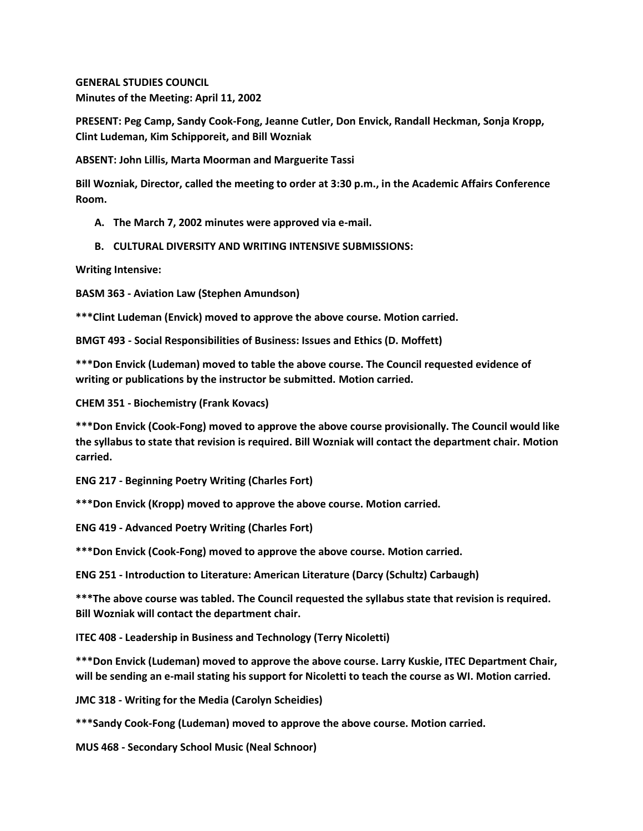**GENERAL STUDIES COUNCIL Minutes of the Meeting: April 11, 2002**

**PRESENT: Peg Camp, Sandy Cook-Fong, Jeanne Cutler, Don Envick, Randall Heckman, Sonja Kropp, Clint Ludeman, Kim Schipporeit, and Bill Wozniak**

**ABSENT: John Lillis, Marta Moorman and Marguerite Tassi**

**Bill Wozniak, Director, called the meeting to order at 3:30 p.m., in the Academic Affairs Conference Room.**

- **A. The March 7, 2002 minutes were approved via e-mail.**
- **B. CULTURAL DIVERSITY AND WRITING INTENSIVE SUBMISSIONS:**

**Writing Intensive:**

**BASM 363 - Aviation Law (Stephen Amundson)**

**\*\*\*Clint Ludeman (Envick) moved to approve the above course. Motion carried.**

**BMGT 493 - Social Responsibilities of Business: Issues and Ethics (D. Moffett)**

**\*\*\*Don Envick (Ludeman) moved to table the above course. The Council requested evidence of writing or publications by the instructor be submitted. Motion carried.**

**CHEM 351 - Biochemistry (Frank Kovacs)**

**\*\*\*Don Envick (Cook-Fong) moved to approve the above course provisionally. The Council would like the syllabus to state that revision is required. Bill Wozniak will contact the department chair. Motion carried.**

**ENG 217 - Beginning Poetry Writing (Charles Fort)**

**\*\*\*Don Envick (Kropp) moved to approve the above course. Motion carried.**

**ENG 419 - Advanced Poetry Writing (Charles Fort)**

**\*\*\*Don Envick (Cook-Fong) moved to approve the above course. Motion carried.**

**ENG 251 - Introduction to Literature: American Literature (Darcy (Schultz) Carbaugh)**

**\*\*\*The above course was tabled. The Council requested the syllabus state that revision is required. Bill Wozniak will contact the department chair.**

**ITEC 408 - Leadership in Business and Technology (Terry Nicoletti)**

**\*\*\*Don Envick (Ludeman) moved to approve the above course. Larry Kuskie, ITEC Department Chair, will be sending an e-mail stating his support for Nicoletti to teach the course as WI. Motion carried.**

**JMC 318 - Writing for the Media (Carolyn Scheidies)**

**\*\*\*Sandy Cook-Fong (Ludeman) moved to approve the above course. Motion carried.**

**MUS 468 - Secondary School Music (Neal Schnoor)**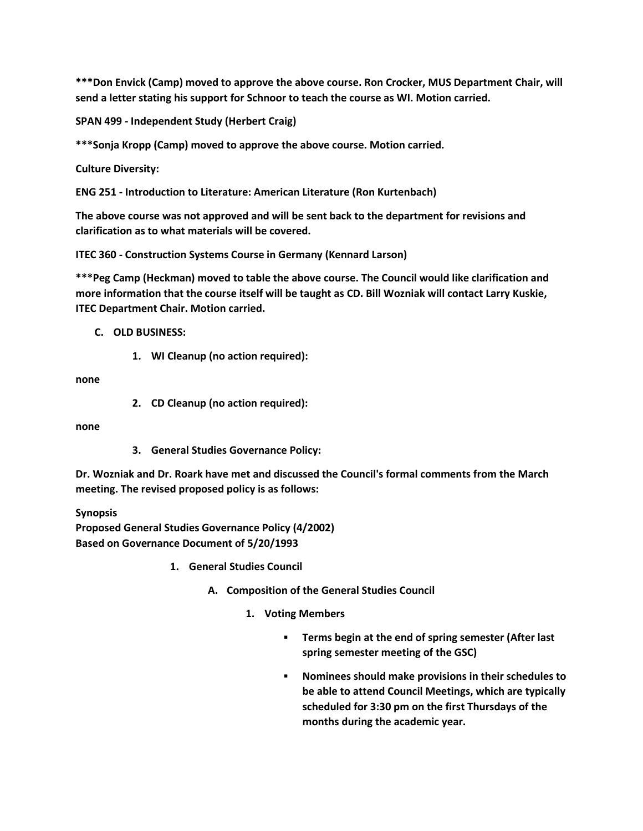**\*\*\*Don Envick (Camp) moved to approve the above course. Ron Crocker, MUS Department Chair, will send a letter stating his support for Schnoor to teach the course as WI. Motion carried.**

**SPAN 499 - Independent Study (Herbert Craig)**

**\*\*\*Sonja Kropp (Camp) moved to approve the above course. Motion carried.**

**Culture Diversity:**

**ENG 251 - Introduction to Literature: American Literature (Ron Kurtenbach)**

**The above course was not approved and will be sent back to the department for revisions and clarification as to what materials will be covered.**

**ITEC 360 - Construction Systems Course in Germany (Kennard Larson)**

**\*\*\*Peg Camp (Heckman) moved to table the above course. The Council would like clarification and more information that the course itself will be taught as CD. Bill Wozniak will contact Larry Kuskie, ITEC Department Chair. Motion carried.**

# **C. OLD BUSINESS:**

**1. WI Cleanup (no action required):** 

**none**

**2. CD Cleanup (no action required):** 

**none**

**3. General Studies Governance Policy:** 

**Dr. Wozniak and Dr. Roark have met and discussed the Council's formal comments from the March meeting. The revised proposed policy is as follows:**

**Synopsis**

**Proposed General Studies Governance Policy (4/2002) Based on Governance Document of 5/20/1993**

- **1. General Studies Council** 
	- **A. Composition of the General Studies Council** 
		- **1. Voting Members** 
			- **Terms begin at the end of spring semester (After last spring semester meeting of the GSC)**
			- **Nominees should make provisions in their schedules to be able to attend Council Meetings, which are typically scheduled for 3:30 pm on the first Thursdays of the months during the academic year.**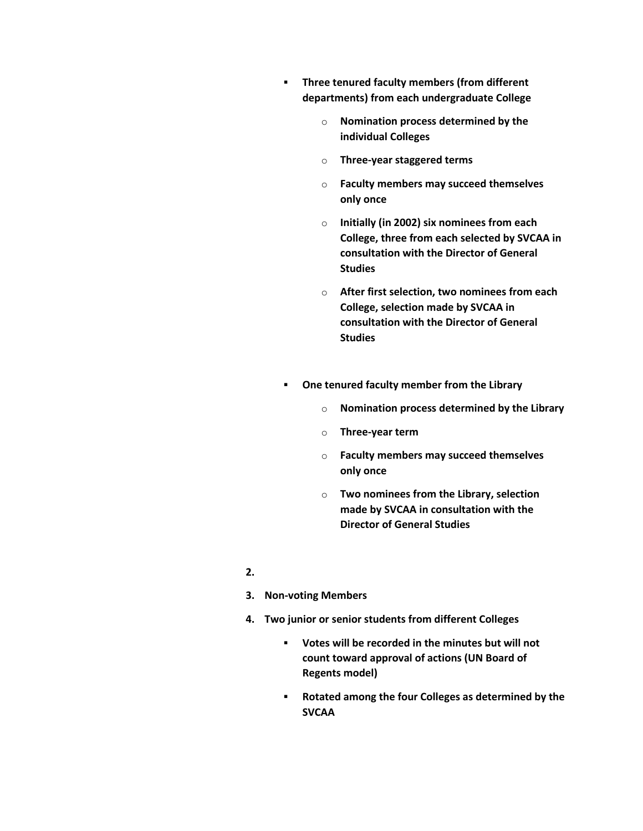- **Three tenured faculty members (from different departments) from each undergraduate College** 
	- o **Nomination process determined by the individual Colleges**
	- o **Three-year staggered terms**
	- o **Faculty members may succeed themselves only once**
	- o **Initially (in 2002) six nominees from each College, three from each selected by SVCAA in consultation with the Director of General Studies**
	- o **After first selection, two nominees from each College, selection made by SVCAA in consultation with the Director of General Studies**
- **One tenured faculty member from the Library** 
	- o **Nomination process determined by the Library**
	- o **Three-year term**
	- o **Faculty members may succeed themselves only once**
	- o **Two nominees from the Library, selection made by SVCAA in consultation with the Director of General Studies**
- **2.**
- **3. Non-voting Members**
- **4. Two junior or senior students from different Colleges** 
	- **Votes will be recorded in the minutes but will not count toward approval of actions (UN Board of Regents model)**
	- **Rotated among the four Colleges as determined by the SVCAA**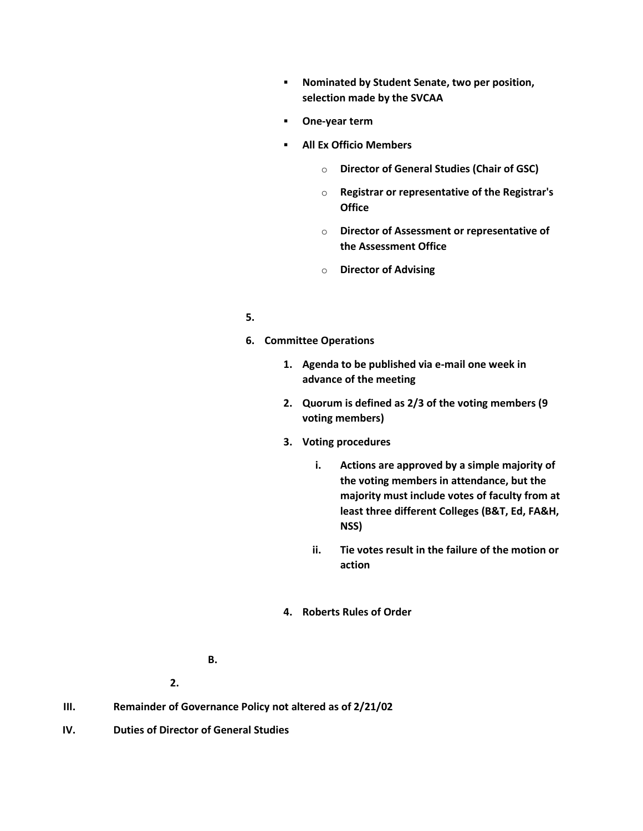- **Nominated by Student Senate, two per position, selection made by the SVCAA**
- **One-year term**
- **All Ex Officio Members** 
	- o **Director of General Studies (Chair of GSC)**
	- o **Registrar or representative of the Registrar's Office**
	- o **Director of Assessment or representative of the Assessment Office**
	- o **Director of Advising**

## **5.**

- **6. Committee Operations** 
	- **1. Agenda to be published via e-mail one week in advance of the meeting**
	- **2. Quorum is defined as 2/3 of the voting members (9 voting members)**
	- **3. Voting procedures** 
		- **i. Actions are approved by a simple majority of the voting members in attendance, but the majority must include votes of faculty from at least three different Colleges (B&T, Ed, FA&H, NSS)**
		- **ii. Tie votes result in the failure of the motion or action**
	- **4. Roberts Rules of Order**

**2.**

- **III. Remainder of Governance Policy not altered as of 2/21/02**
- **IV. Duties of Director of General Studies**

**B.**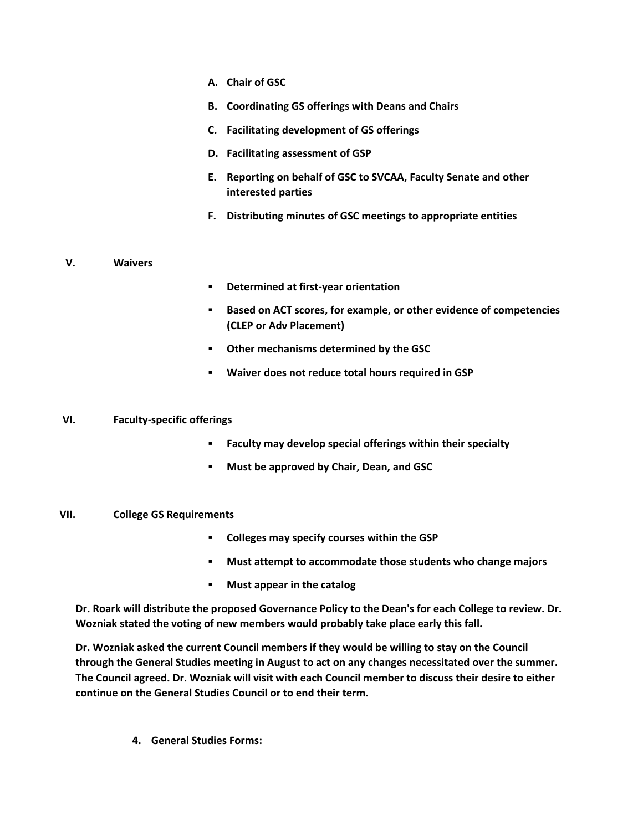- **A. Chair of GSC**
- **B. Coordinating GS offerings with Deans and Chairs**
- **C. Facilitating development of GS offerings**
- **D. Facilitating assessment of GSP**
- **E. Reporting on behalf of GSC to SVCAA, Faculty Senate and other interested parties**
- **F. Distributing minutes of GSC meetings to appropriate entities**

### **V. Waivers**

- **Determined at first-year orientation**
- **Based on ACT scores, for example, or other evidence of competencies (CLEP or Adv Placement)**
- **Other mechanisms determined by the GSC**
- **Waiver does not reduce total hours required in GSP**

#### **VI. Faculty-specific offerings**

- **Faculty may develop special offerings within their specialty**
- **Must be approved by Chair, Dean, and GSC**

### **VII. College GS Requirements**

- **Colleges may specify courses within the GSP**
- **Must attempt to accommodate those students who change majors**
- **Must appear in the catalog**

**Dr. Roark will distribute the proposed Governance Policy to the Dean's for each College to review. Dr. Wozniak stated the voting of new members would probably take place early this fall.**

**Dr. Wozniak asked the current Council members if they would be willing to stay on the Council through the General Studies meeting in August to act on any changes necessitated over the summer. The Council agreed. Dr. Wozniak will visit with each Council member to discuss their desire to either continue on the General Studies Council or to end their term.**

**4. General Studies Forms:**